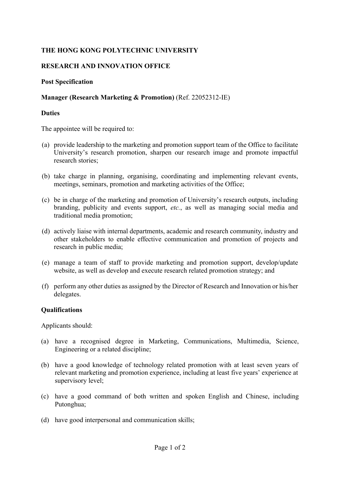# **THE HONG KONG POLYTECHNIC UNIVERSITY**

# **RESEARCH AND INNOVATION OFFICE**

### **Post Specification**

### **Manager (Research Marketing & Promotion)** (Ref. 22052312-IE)

### **Duties**

The appointee will be required to:

- (a) provide leadership to the marketing and promotion support team of the Office to facilitate University's research promotion, sharpen our research image and promote impactful research stories;
- (b) take charge in planning, organising, coordinating and implementing relevant events, meetings, seminars, promotion and marketing activities of the Office;
- (c) be in charge of the marketing and promotion of University's research outputs, including branding, publicity and events support, *etc.*, as well as managing social media and traditional media promotion;
- (d) actively liaise with internal departments, academic and research community, industry and other stakeholders to enable effective communication and promotion of projects and research in public media;
- (e) manage a team of staff to provide marketing and promotion support, develop/update website, as well as develop and execute research related promotion strategy; and
- (f) perform any other duties as assigned by the Director of Research and Innovation or his/her delegates.

#### **Qualifications**

Applicants should:

- (a) have a recognised degree in Marketing, Communications, Multimedia, Science, Engineering or a related discipline;
- (b) have a good knowledge of technology related promotion with at least seven years of relevant marketing and promotion experience, including at least five years' experience at supervisory level;
- (c) have a good command of both written and spoken English and Chinese, including Putonghua;
- (d) have good interpersonal and communication skills;